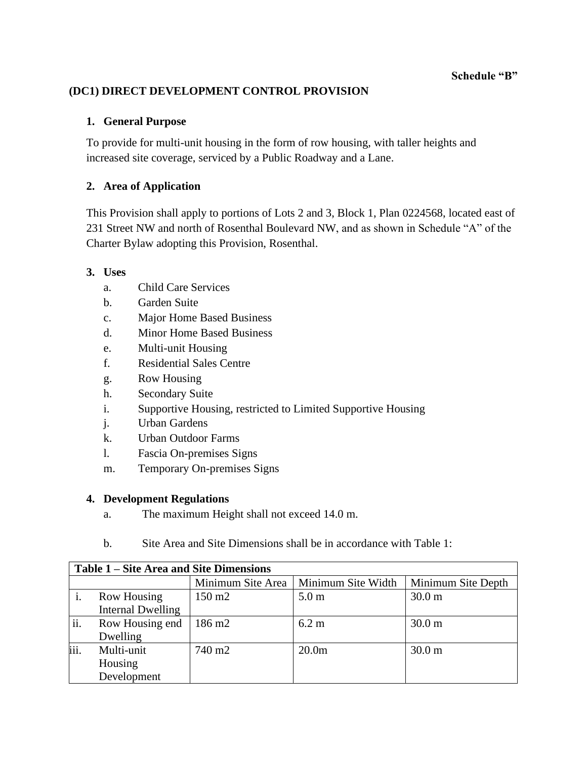**Schedule "B"**

# **(DC1) DIRECT DEVELOPMENT CONTROL PROVISION**

## **1. General Purpose**

To provide for multi-unit housing in the form of row housing, with taller heights and increased site coverage, serviced by a Public Roadway and a Lane.

# **2. Area of Application**

This Provision shall apply to portions of Lots 2 and 3, Block 1, Plan 0224568, located east of 231 Street NW and north of Rosenthal Boulevard NW, and as shown in Schedule "A" of the Charter Bylaw adopting this Provision, Rosenthal.

### **3. Uses**

- a. Child Care Services
- b. Garden Suite
- c. Major Home Based Business
- d. Minor Home Based Business
- e. Multi-unit Housing
- f. Residential Sales Centre
- g. Row Housing
- h. Secondary Suite
- i. Supportive Housing, restricted to Limited Supportive Housing
- j. Urban Gardens
- k. Urban Outdoor Farms
- l. Fascia On-premises Signs
- m. Temporary On-premises Signs

# **4. Development Regulations**

- a. The maximum Height shall not exceed 14.0 m.
- b. Site Area and Site Dimensions shall be in accordance with Table 1:

| Table 1 – Site Area and Site Dimensions |                   |                    |                                        |                    |
|-----------------------------------------|-------------------|--------------------|----------------------------------------|--------------------|
|                                         |                   |                    | Minimum Site Area   Minimum Site Width | Minimum Site Depth |
|                                         | Row Housing       | $150 \text{ m}$    | 5.0 <sub>m</sub>                       | 30.0 <sub>m</sub>  |
|                                         | Internal Dwelling |                    |                                        |                    |
| ii.                                     | Row Housing end   | $186 \text{ m}$ 2  | 6.2 m                                  | 30.0 <sub>m</sub>  |
|                                         | Dwelling          |                    |                                        |                    |
| iii.                                    | Multi-unit        | 740 m <sub>2</sub> | 20.0 <sub>m</sub>                      | 30.0 <sub>m</sub>  |
|                                         | Housing           |                    |                                        |                    |
|                                         | Development       |                    |                                        |                    |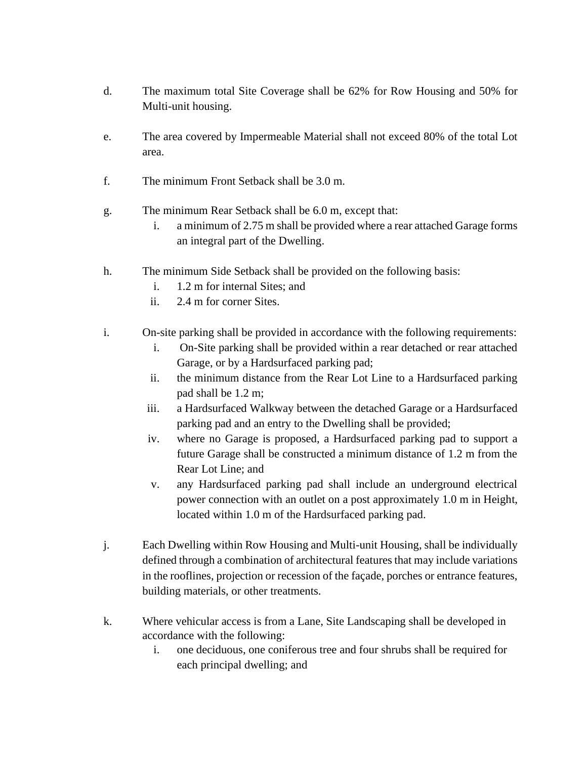- d. The maximum total Site Coverage shall be 62% for Row Housing and 50% for Multi-unit housing.
- e. The area covered by Impermeable Material shall not exceed 80% of the total Lot area.
- f. The minimum Front Setback shall be 3.0 m.
- g. The minimum Rear Setback shall be 6.0 m, except that:
	- i. a minimum of 2.75 m shall be provided where a rear attached Garage forms an integral part of the Dwelling.
- h. The minimum Side Setback shall be provided on the following basis:
	- i. 1.2 m for internal Sites; and
	- ii. 2.4 m for corner Sites.
- i. On-site parking shall be provided in accordance with the following requirements:
	- i. On-Site parking shall be provided within a rear detached or rear attached Garage, or by a Hardsurfaced parking pad;
	- ii. the minimum distance from the Rear Lot Line to a Hardsurfaced parking pad shall be 1.2 m;
	- iii. a Hardsurfaced Walkway between the detached Garage or a Hardsurfaced parking pad and an entry to the Dwelling shall be provided;
	- iv. where no Garage is proposed, a Hardsurfaced parking pad to support a future Garage shall be constructed a minimum distance of 1.2 m from the Rear Lot Line; and
	- v. any Hardsurfaced parking pad shall include an underground electrical power connection with an outlet on a post approximately 1.0 m in Height, located within 1.0 m of the Hardsurfaced parking pad.
- j. Each Dwelling within Row Housing and Multi-unit Housing, shall be individually defined through a combination of architectural features that may include variations in the rooflines, projection or recession of the façade, porches or entrance features, building materials, or other treatments.
- k. Where vehicular access is from a Lane, Site Landscaping shall be developed in accordance with the following:
	- i. one deciduous, one coniferous tree and four shrubs shall be required for each principal dwelling; and